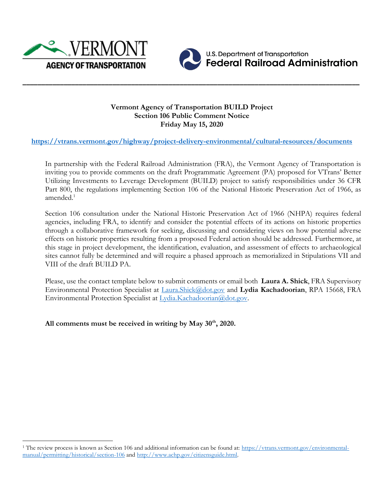



**\_\_\_\_\_\_\_\_\_\_\_\_\_\_\_\_\_\_\_\_\_\_\_\_\_\_\_\_\_\_\_\_\_\_\_\_\_\_\_\_\_\_\_\_\_\_\_\_\_\_\_\_\_\_\_\_\_\_\_\_\_\_\_\_\_\_\_\_\_\_\_\_\_\_\_\_\_\_\_\_\_\_\_\_\_\_\_\_\_\_**

**U.S. Department of Transportation Federal Railroad Administration** 

## **Vermont Agency of Transportation BUILD Project Section 106 Public Comment Notice Friday May 15, 2020**

# **<https://vtrans.vermont.gov/highway/project-delivery-environmental/cultural-resources/documents>**

In partnership with the Federal Railroad Administration (FRA), the Vermont Agency of Transportation is inviting you to provide comments on the draft Programmatic Agreement (PA) proposed for VTrans' Better Utilizing Investments to Leverage Development (BUILD) project to satisfy responsibilities under 36 CFR Part 800, the regulations implementing Section 106 of the National Historic Preservation Act of 1966, as amended.<sup>1</sup>

Section 106 consultation under the National Historic Preservation Act of 1966 (NHPA) requires federal agencies, including FRA, to identify and consider the potential effects of its actions on historic properties through a collaborative framework for seeking, discussing and considering views on how potential adverse effects on historic properties resulting from a proposed Federal action should be addressed. Furthermore, at this stage in project development, the identification, evaluation, and assessment of effects to archaeological sites cannot fully be determined and will require a phased approach as memorialized in Stipulations VII and VIII of the draft BUILD PA.

Please, use the contact template below to submit comments or email both **Laura A. Shick**, FRA Supervisory Environmental Protection Specialist at [Laura.Shick@dot.gov](mailto:Laura.Shick@dot.gov) and **Lydia Kachadoorian**, RPA 15668, FRA Environmental Protection Specialist at [Lydia.Kachadoorian@dot.gov.](mailto:Lydia.Kachadoorian@dot.gov)

**All comments must be received in writing by May 30th, 2020.**

<sup>&</sup>lt;sup>1</sup> The review process is known as Section 106 and additional information can be found at: [https://vtrans.vermont.gov/environmental](https://vtrans.vermont.gov/environmental-manual/permitting/historical/section-106)[manual/permitting/historical/section-106](https://vtrans.vermont.gov/environmental-manual/permitting/historical/section-106) and [http://www.achp.gov/citizensguide.html.](http://www.achp.gov/citizensguide.html)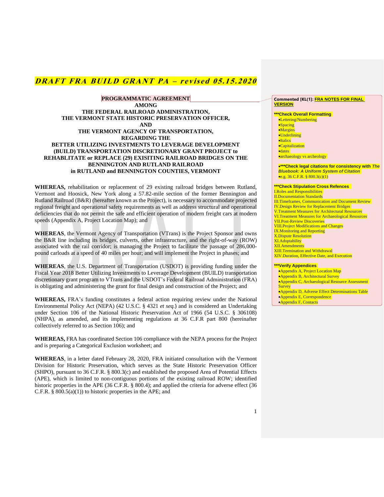**PROGRAMMATIC AGREEMENT AMONG THE FEDERAL RAILROAD ADMINISTRATION, THE VERMONT STATE HISTORIC PRESERVATION OFFICER, AND THE VERMONT AGENCY OF TRANSPORTATION, REGARDING THE BETTER UTILIZING INVESTMENTS TO LEVERAGE DEVELOPMENT (BUILD) TRANSPORTATION DISCRETIONARY GRANT PROJECT to REHABLITATE or REPLACE (29) EXISITING RAILROAD BRIDGES ON THE BENNINGTON AND RUTLAND RAILROAD in RUTLAND and BENNINGTON COUNTIES, VERMONT**

**WHEREAS,** rehabilitation or replacement of 29 existing railroad bridges between Rutland, Vermont and Hoosick, New York along a 57.82-mile section of the former Bennington and Rutland Railroad (B&R) (hereafter known as the Project), is necessary to accommodate projected regional freight and operational safety requirements as well as address structural and operational deficiencies that do not permit the safe and efficient operation of modern freight cars at modern speeds (Appendix A, Project Location Map); and

**WHEREAS**, the Vermont Agency of Transportation (VTrans) is the Project Sponsor and owns the B&R line including its bridges, culverts, other infrastructure, and the right-of-way (ROW) associated with the rail corridor; is managing the Project to facilitate the passage of 286,000 pound carloads at a speed of 40 miles per hour; and will implement the Project in phases; and

**WHEREAS**, the U.S. Department of Transportation (USDOT) is providing funding under the Fiscal Year 2018 Better Utilizing Investments to Leverage Development (BUILD) transportation discretionary grant program to VTrans and the USDOT's Federal Railroad Administration (FRA) is obligating and administering the grant for final design and construction of the Project; and

**WHEREAS,** FRA's funding constitutes a federal action requiring review under the National Environmental Policy Act (NEPA) (42 U.S.C. § 4321 *et seq.*) and is considered an Undertaking under Section 106 of the National Historic Preservation Act of 1966 (54 U.S.C. § 306108) (NHPA), as amended, and its implementing regulations at 36 C.F.R part 800 (hereinafter collectively referred to as Section 106); and

**WHEREAS,** FRA has coordinated Section 106 compliance with the NEPA process for the Project and is preparing a Categorical Exclusion worksheet; and

**WHEREAS**, in a letter dated February 28, 2020, FRA initiated consultation with the Vermont Division for Historic Preservation, which serves as the State Historic Preservation Officer (SHPO), pursuant to 36 C.F.R. § 800.3(c) and established the proposed Area of Potential Effects (APE), which is limited to non-contiguous portions of the existing railroad ROW; identified historic properties in the APE (36 C.F.R. § 800.4); and applied the criteria for adverse effect (36 C.F.R.  $\S$  800.5(a)(1)) to historic properties in the APE; and

#### **Commented [KL(1]: FRA NOTES FOR FINAL VERSION**

**\*\*\*Check Overall Formatting** 

- •Lettering/Numbering
- •Spacing •Margins
- •Underlining
- •Italics
- •Capitalization
- •dates

•archaeology vs archeology

•**\*\*\*Check legal citations for consistency with** *The Bluebook: A Uniform System of Citation*  •e.g. 36 C.F.R.  $\frac{800.3(c)(1)}{c}$ 

#### **\*\*\*Check Stipulation Cross Refences**

I.Roles and Responsibilities II.Documentation Standards III.Timeframes, Communication and Document Review IV.Design Review for Replacement Bridges V.Treatment Measures for Architectural Resources VI.Treatment Measures for Archaeological Resources VII.Post-Review Discoveries VIII.Project Modifications and Changes IX.Monitoring and Reporting X.Dispute Resolution XI.Adoptability XII.Amendments XIII Termination and Withdrawal XIV.Duration, Effective Date, and Execution

#### **\*\*\*Verify Appendices**

- •Appendix A, Project Location Map
- •Appendix B, Architectural Survey
- •Appendix C, Archaeological Resource Assessment **Survey**
- •Appendix D, Adverse Effect Determinations Table
- •Appendix E, Correspondence
- •Appendix F, Contacts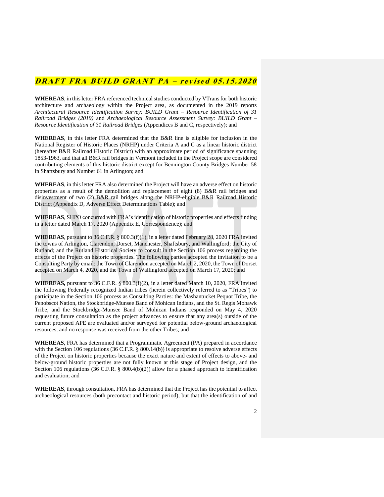**WHEREAS**, in this letter FRA referenced technical studies conducted by VTrans for both historic architecture and archaeology within the Project area, as documented in the 2019 reports *Architectural Resource Identification Survey: BUILD Grant – Resource Identification of 31 Railroad Bridges (2019)* and *Archaeological Resource Assessment Survey: BUILD Grant – Resource Identification of 31 Railroad Bridges* (Appendices B and C, respectively); and

**WHEREAS**, in this letter FRA determined that the B&R line is eligible for inclusion in the National Register of Historic Places (NRHP) under Criteria A and C as a linear historic district (hereafter B&R Railroad Historic District) with an approximate period of significance spanning 1853-1963, and that all B&R rail bridges in Vermont included in the Project scope are considered contributing elements of this historic district except for Bennington County Bridges Number 58 in Shaftsbury and Number 61 in Arlington; and

**WHEREAS**, in this letter FRA also determined the Project will have an adverse effect on historic properties as a result of the demolition and replacement of eight (8) B&R rail bridges and disinvestment of two (2) B&R rail bridges along the NRHP-eligible B&R Railroad Historic District (Appendix D, Adverse Effect Determinations Table); and

**WHEREAS**, SHPO concurred with FRA's identification of historic properties and effects finding in a letter dated March 17, 2020 (Appendix E, Correspondence); and

**WHEREAS**, pursuant to 36 C.F.R. § 800.3(f)(1), in a letter dated February 28, 2020 FRA invited the towns of Arlington, Clarendon, Dorset, Manchester, Shaftsbury, and Wallingford; the City of Rutland; and the Rutland Historical Society to consult in the Section 106 process regarding the effects of the Project on historic properties. The following parties accepted the invitation to be a Consulting Party by email: the Town of Clarendon accepted on March 2, 2020, the Town of Dorset accepted on March 4, 2020, and the Town of Wallingford accepted on March 17, 2020; and

**WHEREAS,** pursuant to 36 C.F.R. § 800.3(f)(2), in a letter dated March 10, 2020, FRA invited the following Federally recognized Indian tribes (herein collectively referred to as "Tribes") to participate in the Section 106 process as Consulting Parties: the Mashantucket Pequot Tribe, the Penobscot Nation, the Stockbridge-Munsee Band of Mohican Indians, and the St. Regis Mohawk Tribe, and the Stockbridge-Munsee Band of Mohican Indians responded on May 4, 2020 requesting future consultation as the project advances to ensure that any area(s) outside of the current proposed APE are evaluated and/or surveyed for potential below-ground archaeological resources, and no response was received from the other Tribes; and

**WHEREAS**, FRA has determined that a Programmatic Agreement (PA) prepared in accordance with the Section 106 regulations (36 C.F.R. § 800.14(b)) is appropriate to resolve adverse effects of the Project on historic properties because the exact nature and extent of effects to above- and below-ground historic properties are not fully known at this stage of Project design, and the Section 106 regulations (36 C.F.R. § 800.4(b)(2)) allow for a phased approach to identification and evaluation; and

**WHEREAS**, through consultation, FRA has determined that the Project has the potential to affect archaeological resources (both precontact and historic period), but that the identification of and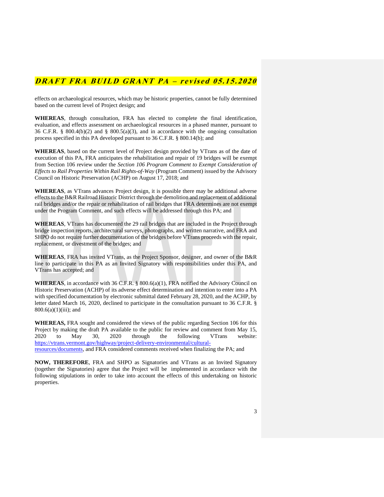effects on archaeological resources, which may be historic properties, cannot be fully determined based on the current level of Project design; and

**WHEREAS**, through consultation, FRA has elected to complete the final identification, evaluation, and effects assessment on archaeological resources in a phased manner, pursuant to 36 C.F.R. § 800.4(b)(2) and § 800.5(a)(3), and in accordance with the ongoing consultation process specified in this PA developed pursuant to 36 C.F.R. § 800.14(b); and

**WHEREAS**, based on the current level of Project design provided by VTrans as of the date of execution of this PA, FRA anticipates the rehabilitation and repair of 19 bridges will be exempt from Section 106 review under the *Section 106 Program Comment to Exempt Consideration of Effects to Rail Properties Within Rail Rights-of-Way* (Program Comment) issued by the Advisory Council on Historic Preservation (ACHP) on August 17, 2018; and

**WHEREAS**, as VTrans advances Project design, it is possible there may be additional adverse effects to the B&R Railroad Historic District through the demolition and replacement of additional rail bridges and/or the repair or rehabilitation of rail bridges that FRA determines are not exempt under the Program Comment, and such effects will be addressed through this PA; and

**WHEREAS**, VTrans has documented the 29 rail bridges that are included in the Project through bridge inspection reports, architectural surveys, photographs, and written narrative, and FRA and SHPO do not require further documentation of the bridges before VTrans proceeds with the repair, replacement, or divestment of the bridges; and

**WHEREAS**, FRA has invited VTrans, as the Project Sponsor, designer, and owner of the B&R line to participate in this PA as an Invited Signatory with responsibilities under this PA, and VTrans has accepted; and

**WHEREAS**, in accordance with 36 C.F.R. § 800.6(a)(1), FRA notified the Advisory Council on Historic Preservation (ACHP) of its adverse effect determination and intention to enter into a PA with specified documentation by electronic submittal dated February 28, 2020, and the ACHP, by letter dated March 16, 2020, declined to participate in the consultation pursuant to 36 C.F.R. §  $800.6(a)(1)(iii)$ ; and

**WHEREAS,** FRA sought and considered the views of the public regarding Section 106 for this Project by making the draft PA available to the public for review and comment from May 15, 2020 to May 30, 2020 through the following VTrans website: [https://vtrans.vermont.gov/highway/project-delivery-environmental/cultural-](https://vtrans.vermont.gov/highway/project-delivery-environmental/cultural-resources/documents)

[resources/documents,](https://vtrans.vermont.gov/highway/project-delivery-environmental/cultural-resources/documents) and FRA considered comments received when finalizing the PA; and

**NOW, THEREFORE**, FRA and SHPO as Signatories and VTrans as an Invited Signatory (together the Signatories) agree that the Project will be implemented in accordance with the following stipulations in order to take into account the effects of this undertaking on historic properties.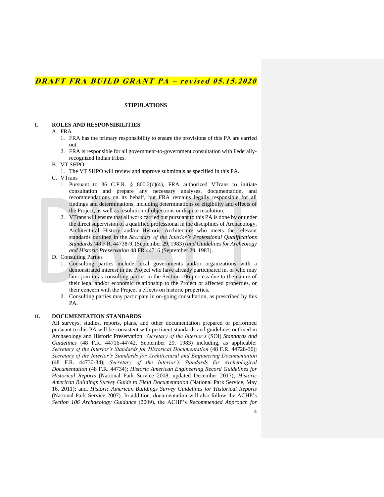### **STIPULATIONS**

### **I. ROLES AND RESPONSIBILITIES**

#### A. FRA

- 1. FRA has the primary responsibility to ensure the provisions of this PA are carried out.
- 2. FRA is responsible for all government-to-government consultation with Federallyrecognized Indian tribes.
- B. VT SHPO
	- 1. The VT SHPO will review and approve submittals as specified in this PA.
- C. VTrans
	- 1. Pursuant to 36 C.F.R. § 800.2(c)(4), FRA authorized VTrans to initiate consultation and prepare any necessary analyses, documentation, and recommendations on its behalf, but FRA remains legally responsible for all findings and determinations, including determinations of eligibility and effects of the Project, as well as resolution of objections or dispute resolution.
	- 2. VTrans will ensure that all work carried out pursuant to this PA is done by or under the direct supervision of a qualified professional in the disciplines of Archaeology, Architectural History and/or Historic Architecture who meets the relevant standards outlined in the *Secretary of the Interior's Professional Qualifications Standards* (48 F.R. 44738-9, (September 29, 1983)) *and Guidelines for Archeology and Historic Preservation* 48 FR 44716 (September 29, 1983).
- D. Consulting Parties
	- 1. Consulting parties include local governments and/or organizations with a demonstrated interest in the Project who have already participated in, or who may later join in as consulting parties in the Section 106 process due to the nature of their legal and/or economic relationship to the Project or affected properties, or their concern with the Project's effects on historic properties.
	- 2. Consulting parties may participate in on-going consultation, as prescribed by this PA.

#### **II. DOCUMENTATION STANDARDS**

All surveys, studies, reports, plans, and other documentation prepared or performed pursuant to this PA will be consistent with pertinent standards and guidelines outlined in Archaeology and Historic Preservation: *Secretary of the Interior's* (SOI) *Standards and Guidelines* (48 F.R. 44716-44742, September 29, 1983) including, as applicable: *Secretary of the Interior's Standards for Historical Documentation* (48 F.R. 44728-30); *Secretary of the Interior's Standards for Architectural and Engineering Documentation* (48 F.R. 44730-34); *Secretary of the Interior's Standards for Archeological Documentation* (48 F.R. 44734); *Historic American Engineering Record Guidelines for Historical Reports* (National Park Service 2008, updated December 2017); *Historic American Buildings Survey Guide to Field Documentation* (National Park Service, May 16, 2011); and, *Historic American Buildings Survey Guidelines for Historical Reports*  (National Park Service 2007). In addition, documentation will also follow the ACHP's *Section 106 Archaeology Guidance* (2009), the ACHP's *Recommended Approach for*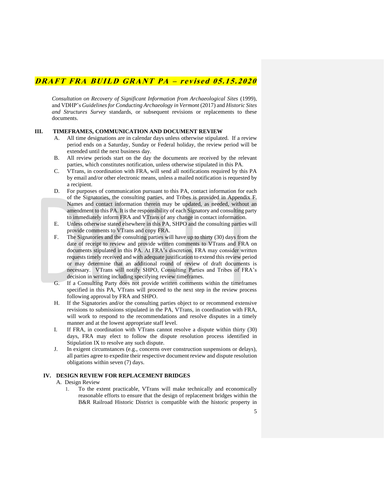*Consultation on Recovery of Significant Information from Archaeological Sites* (1999), and VDHP's *Guidelines for Conducting Archaeology in Vermont* (2017) and *Historic Sites and Structures Survey* standards, or subsequent revisions or replacements to these documents.

### **III. TIMEFRAMES, COMMUNICATION AND DOCUMENT REVIEW**

- A. All time designations are in calendar days unless otherwise stipulated. If a review period ends on a Saturday, Sunday or Federal holiday, the review period will be extended until the next business day.
- B. All review periods start on the day the documents are received by the relevant parties, which constitutes notification, unless otherwise stipulated in this PA.
- C. VTrans, in coordination with FRA, will send all notifications required by this PA by email and/or other electronic means, unless a mailed notification is requested by a recipient.
- D. For purposes of communication pursuant to this PA, contact information for each of the Signatories, the consulting parties, and Tribes is provided in Appendix F. Names and contact information therein may be updated, as needed, without an amendment to this PA. It is the responsibility of each Signatory and consulting party to immediately inform FRA and VTrans of any change in contact information.
- E. Unless otherwise stated elsewhere in this PA, SHPO and the consulting parties will provide comments to VTrans and copy FRA.
- F. The Signatories and the consulting parties will have up to thirty (30) days from the date of receipt to review and provide written comments to VTrans and FRA on documents stipulated in this PA. At FRA's discretion, FRA may consider written requests timely received and with adequate justification to extend this review period or may determine that an additional round of review of draft documents is necessary. VTrans will notify SHPO, Consulting Parties and Tribes of FRA's decision in writing including specifying review timeframes.
- G. If a Consulting Party does not provide written comments within the timeframes specified in this PA, VTrans will proceed to the next step in the review process following approval by FRA and SHPO.
- H. If the Signatories and/or the consulting parties object to or recommend extensive revisions to submissions stipulated in the PA, VTrans, in coordination with FRA, will work to respond to the recommendations and resolve disputes in a timely manner and at the lowest appropriate staff level.
- I. If FRA, in coordination with VTrans cannot resolve a dispute within thirty (30) days, FRA may elect to follow the dispute resolution process identified in Stipulation IX to resolve any such dispute.
- J. In exigent circumstances (e.g., concerns over construction suspensions or delays), all parties agree to expedite their respective document review and dispute resolution obligations within seven (7) days.

#### **IV. DESIGN REVIEW FOR REPLACEMENT BRIDGES**

#### A. Design Review

1. To the extent practicable, VTrans will make technically and economically reasonable efforts to ensure that the design of replacement bridges within the B&R Railroad Historic District is compatible with the historic property in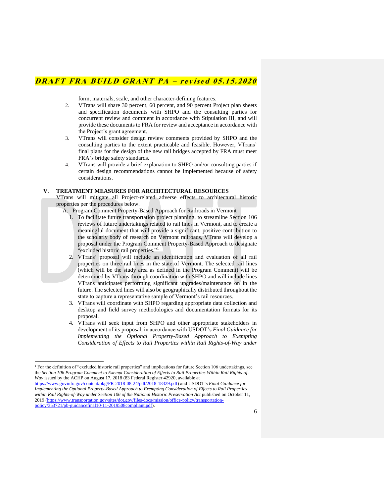form, materials, scale, and other character-defining features.

- 2. VTrans will share 30 percent, 60 percent, and 90 percent Project plan sheets and specification documents with SHPO and the consulting parties for concurrent review and comment in accordance with Stipulation III, and will provide these documents to FRA for review and acceptance in accordance with the Project's grant agreement.
- 3. VTrans will consider design review comments provided by SHPO and the consulting parties to the extent practicable and feasible. However, VTrans' final plans for the design of the new rail bridges accepted by FRA must meet FRA's bridge safety standards.
- 4. VTrans will provide a brief explanation to SHPO and/or consulting parties if certain design recommendations cannot be implemented because of safety considerations.

#### **V. TREATMENT MEASURES FOR ARCHITECTURAL RESOURCES**

VTrans will mitigate all Project-related adverse effects to architectural historic properties per the procedures below.

- A. Program Comment Property-Based Approach for Railroads in Vermont
	- 1. To facilitate future transportation project planning, to streamline Section 106 reviews of future undertakings related to rail lines in Vermont, and to create a meaningful document that will provide a significant, positive contribution to the scholarly body of research on Vermont railroads, VTrans will develop a proposal under the Program Comment Property-Based Approach to designate "excluded historic rail properties." 1
	- 2. VTrans' proposal will include an identification and evaluation of all rail properties on three rail lines in the state of Vermont. The selected rail lines (which will be the study area as defined in the Program Comment) will be determined by VTrans through coordination with SHPO and will include lines VTrans anticipates performing significant upgrades/maintenance on in the future. The selected lines will also be geographically distributed throughout the state to capture a representative sample of Vermont's rail resources.
	- 3. VTrans will coordinate with SHPO regarding appropriate data collection and desktop and field survey methodologies and documentation formats for its proposal.
	- 4. VTrans will seek input from SHPO and other appropriate stakeholders in development of its proposal, in accordance with USDOT's *Final Guidance for Implementing the Optional Property-Based Approach to Exempting Consideration of Effects to Rail Properties within Rail Rights-of-Way under*

<sup>&</sup>lt;sup>1</sup> For the definition of "excluded historic rail properties" and implications for future Section 106 undertakings, see the *Section 106 Program Comment to Exempt Consideration of Effects to Rail Properties Within Rail Rights-of-Way* issued by the ACHP on August 17, 2018 (83 Federal Register 42920, available at

[https://www.govinfo.gov/content/pkg/FR-2018-08-24/pdf/2018-18329.pdf\)](https://www.govinfo.gov/content/pkg/FR-2018-08-24/pdf/2018-18329.pdf) and USDOT's *Final Guidance for Implementing the Optional Property-Based Approach to Exempting Consideration of Effects to Rail Properties within Rail Rights-of-Way under Section 106 of the National Historic Preservation Act* published on October 11, 2019 [\(https://www.transportation.gov/sites/dot.gov/files/docs/mission/office-policy/transportation](https://www.transportation.gov/sites/dot.gov/files/docs/mission/office-policy/transportation-policy/353721/pb-guidancefinal10-11-2019508compliant.pdf)[policy/353721/pb-guidancefinal10-11-2019508compliant.pdf\)](https://www.transportation.gov/sites/dot.gov/files/docs/mission/office-policy/transportation-policy/353721/pb-guidancefinal10-11-2019508compliant.pdf).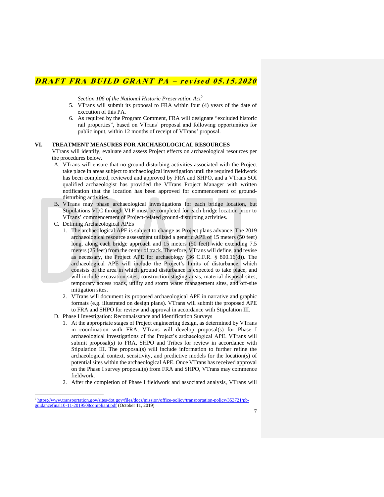*Section 106 of the National Historic Preservation Act*<sup>2</sup>

- 5. VTrans will submit its proposal to FRA within four (4) years of the date of execution of this PA.
- 6. As required by the Program Comment, FRA will designate "excluded historic rail properties", based on VTrans' proposal and following opportunities for public input, within 12 months of receipt of VTrans' proposal.

#### **VI. TREATMENT MEASURES FOR ARCHAEOLOGICAL RESOURCES**

VTrans will identify, evaluate and assess Project effects on archaeological resources per the procedures below.

- A. VTrans will ensure that no ground-disturbing activities associated with the Project take place in areas subject to archaeological investigation until the required fieldwork has been completed, reviewed and approved by FRA and SHPO, and a VTrans SOI qualified archaeologist has provided the VTrans Project Manager with written notification that the location has been approved for commencement of grounddisturbing activities.
- B. VTrans may phase archaeological investigations for each bridge location, but Stipulations VI.C through VI.F must be completed for each bridge location prior to VTrans' commencement of Project-related ground-disturbing activities.
- C. Defining Archaeological APEs
	- 1. The archaeological APE is subject to change as Project plans advance. The 2019 archaeological resource assessment utilized a generic APE of 15 meters (50 feet) long, along each bridge approach and 15 meters (50 feet) wide extending 7.5 meters (25 feet) from the center of track. Therefore, VTrans will define, and revise as necessary, the Project APE for archaeology (36 C.F.R. § 800.16(d)). The archaeological APE will include the Project's limits of disturbance, which consists of the area in which ground disturbance is expected to take place, and will include excavation sites, construction staging areas, material disposal sites, temporary access roads, utility and storm water management sites, and off-site mitigation sites.
	- 2. VTrans will document its proposed archaeological APE in narrative and graphic formats (e.g. illustrated on design plans). VTrans will submit the proposed APE to FRA and SHPO for review and approval in accordance with Stipulation III.
- D. Phase I Investigation: Reconnaissance and Identification Surveys
	- 1. At the appropriate stages of Project engineering design, as determined by VTrans in coordination with FRA, VTrans will develop proposal(s) for Phase I archaeological investigations of the Project's archaeological APE. VTrans will submit proposal(s) to FRA, SHPO and Tribes for review in accordance with Stipulation III. The proposal(s) will include information to further refine the archaeological context, sensitivity, and predictive models for the location(s) of potential sites within the archaeological APE. Once VTrans has received approval on the Phase I survey proposal(s) from FRA and SHPO, VTrans may commence fieldwork.
	- 2. After the completion of Phase I fieldwork and associated analysis, VTrans will

<sup>2</sup> [https://www.transportation.gov/sites/dot.gov/files/docs/mission/office-policy/transportation-policy/353721/pb](https://www.transportation.gov/sites/dot.gov/files/docs/mission/office-policy/transportation-policy/353721/pb-guidancefinal10-11-2019508compliant.pdf)[guidancefinal10-11-2019508compliant.pdf](https://www.transportation.gov/sites/dot.gov/files/docs/mission/office-policy/transportation-policy/353721/pb-guidancefinal10-11-2019508compliant.pdf) (October 11, 2019)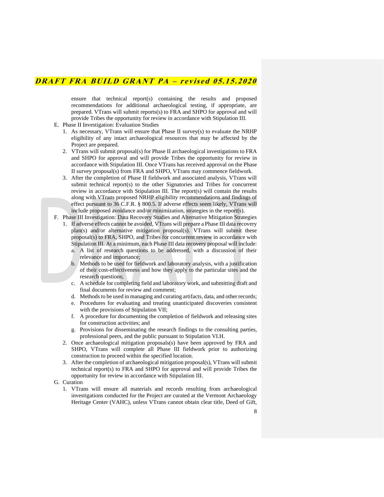ensure that technical report(s) containing the results and proposed recommendations for additional archaeological testing, if appropriate, are prepared. VTrans will submit reports(s) to FRA and SHPO for approval and will provide Tribes the opportunity for review in accordance with Stipulation III.

- E. Phase II Investigation: Evaluation Studies
	- 1. As necessary, VTrans will ensure that Phase II survey(s) to evaluate the NRHP eligibility of any intact archaeological resources that may be affected by the Project are prepared.
	- 2. VTrans will submit proposal(s) for Phase II archaeological investigations to FRA and SHPO for approval and will provide Tribes the opportunity for review in accordance with Stipulation III. Once VTrans has received approval on the Phase II survey proposal(s) from FRA and SHPO, VTrans may commence fieldwork.
	- 3. After the completion of Phase II fieldwork and associated analysis, VTrans will submit technical report(s) to the other Signatories and Tribes for concurrent review in accordance with Stipulation III. The report(s) will contain the results along with VTrans proposed NRHP eligibility recommendations and findings of effect pursuant to 36 C.F.R. § 800.5. If adverse effects seem likely, VTrans will include proposed avoidance and/or minimization, strategies in the report(s).

F. Phase III Investigation: Data Recovery Studies and Alternative Mitigation Strategies

- 1. If adverse effects cannot be avoided, VTrans will prepare a Phase III data recovery plan(s) and/or alternative mitigation proposal(s). VTrans will submit these proposal(s) to FRA, SHPO, and Tribes for concurrent review in accordance with Stipulation III. At a minimum, each Phase III data recovery proposal will include:
	- a. A list of research questions to be addressed, with a discussion of their relevance and importance;
	- b. Methods to be used for fieldwork and laboratory analysis, with a justification of their cost-effectiveness and how they apply to the particular sites and the research questions;
	- c. A schedule for completing field and laboratory work, and submitting draft and final documents for review and comment;
	- d. Methods to be used in managing and curating artifacts, data, and other records;
	- e. Procedures for evaluating and treating unanticipated discoveries consistent with the provisions of Stipulation VII;
	- f. A procedure for documenting the completion of fieldwork and releasing sites for construction activities; and
	- g. Provisions for disseminating the research findings to the consulting parties, professional peers, and the public pursuant to Stipulation VI.H.
- 2. Once archaeological mitigation proposals(s) have been approved by FRA and SHPO, VTrans will complete all Phase III fieldwork prior to authorizing construction to proceed within the specified location.
- 3. After the completion of archaeological mitigation proposal(s), VTrans will submit technical report(s) to FRA and SHPO for approval and will provide Tribes the opportunity for review in accordance with Stipulation III.
- G. Curation
	- 1. VTrans will ensure all materials and records resulting from archaeological investigations conducted for the Project are curated at the Vermont Archaeology Heritage Center (VAHC), unless VTrans cannot obtain clear title, Deed of Gift,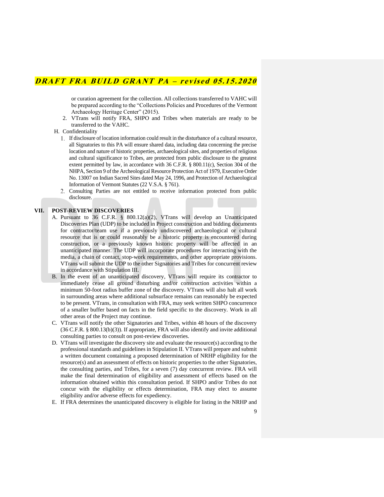or curation agreement for the collection. All collections transferred to VAHC will be prepared according to the "Collections Policies and Procedures of the Vermont Archaeology Heritage Center" (2015).

2. VTrans will notify FRA, SHPO and Tribes when materials are ready to be transferred to the VAHC.

H. Confidentiality

- If disclosure of location information could result in the disturbance of a cultural resource, all Signatories to this PA will ensure shared data, including data concerning the precise location and nature of historic properties, archaeological sites, and properties of religious and cultural significance to Tribes, are protected from public disclosure to the greatest extent permitted by law, in accordance with 36 C.F.R. § 800.11(c), Section 304 of the NHPA, Section 9 of the Archeological Resource Protection Act of 1979, Executive Order No. 13007 on Indian Sacred Sites dated May 24, 1996, and Protection of Archaeological Information of Vermont Statutes (22 V.S.A. § 761).
- Consulting Parties are not entitled to receive information protected from public disclosure.

#### **VII. POST-REVIEW DISCOVERIES**

- A. Pursuant to 36 C.F.R. § 800.12(a)(2), VTrans will develop an Unanticipated Discoveries Plan (UDP) to be included in Project construction and bidding documents for contractor/team use if a previously undiscovered archaeological or cultural resource that is or could reasonably be a historic property is encountered during construction, or a previously known historic property will be affected in an unanticipated manner. The UDP will incorporate procedures for interacting with the media, a chain of contact, stop-work requirements, and other appropriate provisions. VTrans will submit the UDP to the other Signatories and Tribes for concurrent review in accordance with Stipulation III.
- B. In the event of an unanticipated discovery, VTrans will require its contractor to immediately cease all ground disturbing and/or construction activities within a minimum 50-foot radius buffer zone of the discovery. VTrans will also halt all work in surrounding areas where additional subsurface remains can reasonably be expected to be present. VTrans, in consultation with FRA, may seek written SHPO concurrence of a smaller buffer based on facts in the field specific to the discovery. Work in all other areas of the Project may continue.
- C. VTrans will notify the other Signatories and Tribes, within 48 hours of the discovery (36 C.F.R. § 800.13(b)(3)). If appropriate, FRA will also identify and invite additional consulting parties to consult on post-review discoveries.
- D. VTrans will investigate the discovery site and evaluate the resource(s) according to the professional standards and guidelines in Stipulation II. VTrans will prepare and submit a written document containing a proposed determination of NRHP eligibility for the resource(s) and an assessment of effects on historic properties to the other Signatories, the consulting parties, and Tribes, for a seven (7) day concurrent review. FRA will make the final determination of eligibility and assessment of effects based on the information obtained within this consultation period. If SHPO and/or Tribes do not concur with the eligibility or effects determination, FRA may elect to assume eligibility and/or adverse effects for expediency.
- E. If FRA determines the unanticipated discovery is eligible for listing in the NRHP and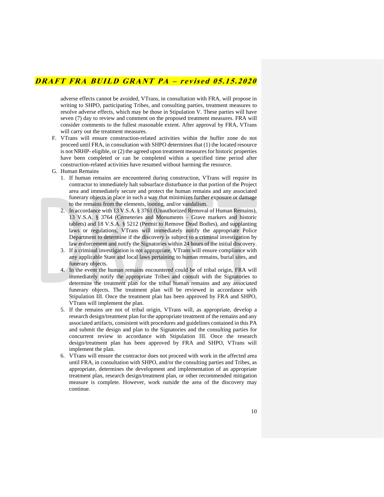adverse effects cannot be avoided, VTrans, in consultation with FRA, will propose in writing to SHPO, participating Tribes, and consulting parties, treatment measures to resolve adverse effects, which may be those in Stipulation V. These parties will have seven (7) day to review and comment on the proposed treatment measures. FRA will consider comments to the fullest reasonable extent. After approval by FRA, VTrans will carry out the treatment measures.

- F. VTrans will ensure construction-related activities within the buffer zone do not proceed until FRA, in consultation with SHPO determines that (1) the located resource is not NRHP- eligible, or (2) the agreed upon treatment measures for historic properties have been completed or can be completed within a specified time period after construction-related activities have resumed without harming the resource.
- G. Human Remains
	- 1. If human remains are encountered during construction, VTrans will require its contractor to immediately halt subsurface disturbance in that portion of the Project area and immediately secure and protect the human remains and any associated funerary objects in place in such a way that minimizes further exposure or damage to the remains from the elements, looting, and/or vandalism.
	- 2. In accordance with 13 V.S.A. § 3761 (Unauthorized Removal of Human Remains), 13 V.S.A. § 3764 (Cemeteries and Monuments – Grave markers and historic tablets) and 18 V.S.A. § 5212 (Permit to Remove Dead Bodies), and supplanting laws or regulations, VTrans will immediately notify the appropriate Police Department to determine if the discovery is subject to a criminal investigation by law enforcement and notify the Signatories within 24 hours of the initial discovery.
	- 3. If a criminal investigation is not appropriate, VTrans will ensure compliance with any applicable State and local laws pertaining to human remains, burial sites, and funerary objects.
	- 4. In the event the human remains encountered could be of tribal origin, FRA will immediately notify the appropriate Tribes and consult with the Signatories to determine the treatment plan for the tribal human remains and any associated funerary objects. The treatment plan will be reviewed in accordance with Stipulation III. Once the treatment plan has been approved by FRA and SHPO, VTrans will implement the plan.
	- 5. If the remains are not of tribal origin, VTrans will, as appropriate, develop a research design/treatment plan for the appropriate treatment of the remains and any associated artifacts, consistent with procedures and guidelines contained in this PA and submit the design and plan to the Signatories and the consulting parties for concurrent review in accordance with Stipulation III. Once the research design/treatment plan has been approved by FRA and SHPO, VTrans will implement the plan.
	- 6. VTrans will ensure the contractor does not proceed with work in the affected area until FRA, in consultation with SHPO, and/or the consulting parties and Tribes, as appropriate, determines the development and implementation of an appropriate treatment plan, research design/treatment plan, or other recommended mitigation measure is complete. However, work outside the area of the discovery may continue.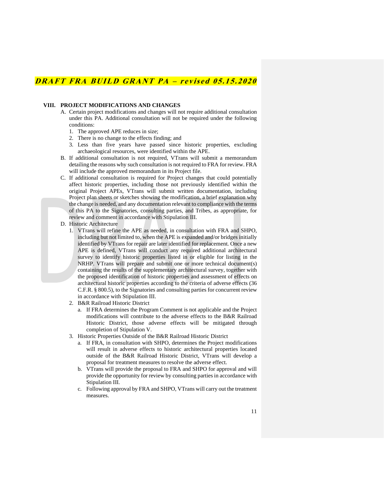#### **VIII. PROJECT MODIFICATIONS AND CHANGES**

- A. Certain project modifications and changes will not require additional consultation under this PA. Additional consultation will not be required under the following conditions:
	- 1. The approved APE reduces in size;
	- 2. There is no change to the effects finding; and
	- 3. Less than five years have passed since historic properties, excluding archaeological resources, were identified within the APE.
- B. If additional consultation is not required, VTrans will submit a memorandum detailing the reasons why such consultation is not required to FRA for review. FRA will include the approved memorandum in its Project file.
- C. If additional consultation is required for Project changes that could potentially affect historic properties, including those not previously identified within the original Project APEs, VTrans will submit written documentation, including Project plan sheets or sketches showing the modification, a brief explanation why the change is needed, and any documentation relevant to compliance with the terms of this PA to the Signatories, consulting parties, and Tribes, as appropriate, for review and comment in accordance with Stipulation III.
- D. Historic Architecture
	- 1. VTrans will refine the APE as needed, in consultation with FRA and SHPO, including but not limited to, when the APE is expanded and/or bridges initially identified by VTrans for repair are later identified for replacement. Once a new APE is defined, VTrans will conduct any required additional architectural survey to identify historic properties listed in or eligible for listing in the NRHP. VTrans will prepare and submit one or more technical document(s) containing the results of the supplementary architectural survey, together with the proposed identification of historic properties and assessment of effects on architectural historic properties according to the criteria of adverse effects (36 C.F.R. § 800.5), to the Signatories and consulting parties for concurrent review in accordance with Stipulation III.
	- 2. B&R Railroad Historic District
		- a. If FRA determines the Program Comment is not applicable and the Project modifications will contribute to the adverse effects to the B&R Railroad Historic District, those adverse effects will be mitigated through completion of Stipulation V.
	- 3. Historic Properties Outside of the B&R Railroad Historic District
		- a. If FRA, in consultation with SHPO, determines the Project modifications will result in adverse effects to historic architectural properties located outside of the B&R Railroad Historic District, VTrans will develop a proposal for treatment measures to resolve the adverse effect.
		- b. VTrans will provide the proposal to FRA and SHPO for approval and will provide the opportunity for review by consulting parties in accordance with Stipulation III.
		- c. Following approval by FRA and SHPO, VTrans will carry out the treatment measures.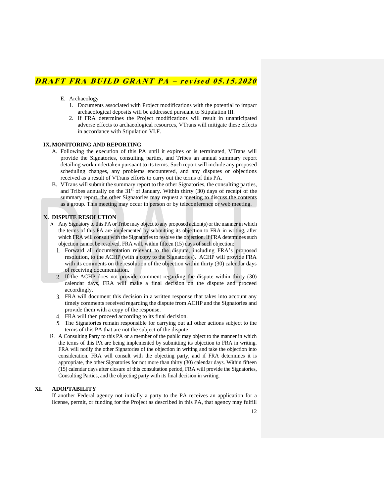- E. Archaeology
	- 1. Documents associated with Project modifications with the potential to impact archaeological deposits will be addressed pursuant to Stipulation III.
	- 2. If FRA determines the Project modifications will result in unanticipated adverse effects to archaeological resources, VTrans will mitigate these effects in accordance with Stipulation VI.F.

### **IX.MONITORING AND REPORTING**

- A. Following the execution of this PA until it expires or is terminated, VTrans will provide the Signatories, consulting parties, and Tribes an annual summary report detailing work undertaken pursuant to its terms. Such report will include any proposed scheduling changes, any problems encountered, and any disputes or objections received as a result of VTrans efforts to carry out the terms of this PA.
- B. VTrans will submit the summary report to the other Signatories, the consulting parties, and Tribes annually on the  $31<sup>st</sup>$  of January. Within thirty (30) days of receipt of the summary report, the other Signatories may request a meeting to discuss the contents as a group. This meeting may occur in person or by teleconference or web meeting.

### **X. DISPUTE RESOLUTION**

- A. Any Signatory to this PA or Tribe may object to any proposed action(s) or the manner in which the terms of this PA are implemented by submitting its objection to FRA in writing, after which FRA will consult with the Signatories to resolve the objection. If FRA determines such objection cannot be resolved, FRA will, within fifteen (15) days of such objection:
	- Forward all documentation relevant to the dispute, including FRA's proposed resolution, to the ACHP (with a copy to the Signatories). ACHP will provide FRA with its comments on the resolution of the objection within thirty (30) calendar days of receiving documentation.
	- If the ACHP does not provide comment regarding the dispute within thirty (30) calendar days, FRA will make a final decision on the dispute and proceed accordingly.
	- FRA will document this decision in a written response that takes into account any timely comments received regarding the dispute from ACHP and the Signatories and provide them with a copy of the response.
	- FRA will then proceed according to its final decision.
	- The Signatories remain responsible for carrying out all other actions subject to the terms of this PA that are not the subject of the dispute.
- A Consulting Party to this PA or a member of the public may object to the manner in which the terms of this PA are being implemented by submitting its objection to FRA in writing. FRA will notify the other Signatories of the objection in writing and take the objection into consideration. FRA will consult with the objecting party, and if FRA determines it is appropriate, the other Signatories for not more than thirty (30) calendar days. Within fifteen (15) calendar days after closure of this consultation period, FRA will provide the Signatories, Consulting Parties, and the objecting party with its final decision in writing.

### **XI. ADOPTABILITY**

If another Federal agency not initially a party to the PA receives an application for a license, permit, or funding for the Project as described in this PA, that agency may fulfill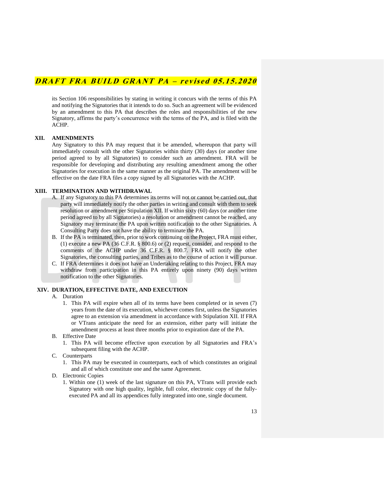its Section 106 responsibilities by stating in writing it concurs with the terms of this PA and notifying the Signatories that it intends to do so. Such an agreement will be evidenced by an amendment to this PA that describes the roles and responsibilities of the new Signatory, affirms the party's concurrence with the terms of the PA, and is filed with the ACHP.

### **XII. AMENDMENTS**

Any Signatory to this PA may request that it be amended, whereupon that party will immediately consult with the other Signatories within thirty (30) days (or another time period agreed to by all Signatories) to consider such an amendment. FRA will be responsible for developing and distributing any resulting amendment among the other Signatories for execution in the same manner as the original PA. The amendment will be effective on the date FRA files a copy signed by all Signatories with the ACHP.

#### **XIII. TERMINATION AND WITHDRAWAL**

- A. If any Signatory to this PA determines its terms will not or cannot be carried out, that party will immediately notify the other parties in writing and consult with them to seek resolution or amendment per Stipulation XII. If within sixty (60) days (or another time period agreed to by all Signatories) a resolution or amendment cannot be reached, any Signatory may terminate the PA upon written notification to the other Signatories. A Consulting Party does not have the ability to terminate the PA.
- B. If the PA is terminated, then, prior to work continuing on the Project, FRA must either, (1) execute a new PA (36 C.F.R. § 800.6) or (2) request, consider, and respond to the comments of the ACHP under 36 C.F.R. § 800.7. FRA will notify the other Signatories, the consulting parties, and Tribes as to the course of action it will pursue.
- C. If FRA determines it does not have an Undertaking relating to this Project, FRA may withdraw from participation in this PA entirely upon ninety (90) days written notification to the other Signatories.

### **XIV. DURATION, EFFECTIVE DATE, AND EXECUTION**

- A. Duration
	- 1. This PA will expire when all of its terms have been completed or in seven (7) years from the date of its execution, whichever comes first, unless the Signatories agree to an extension via amendment in accordance with Stipulation XII. If FRA or VTrans anticipate the need for an extension, either party will initiate the amendment process at least three months prior to expiration date of the PA.
- B. Effective Date
	- 1. This PA will become effective upon execution by all Signatories and FRA's subsequent filing with the ACHP.
- C. Counterparts
	- 1. This PA may be executed in counterparts, each of which constitutes an original and all of which constitute one and the same Agreement.
- D. Electronic Copies
	- 1. Within one (1) week of the last signature on this PA, VTrans will provide each Signatory with one high quality, legible, full color, electronic copy of the fullyexecuted PA and all its appendices fully integrated into one, single document.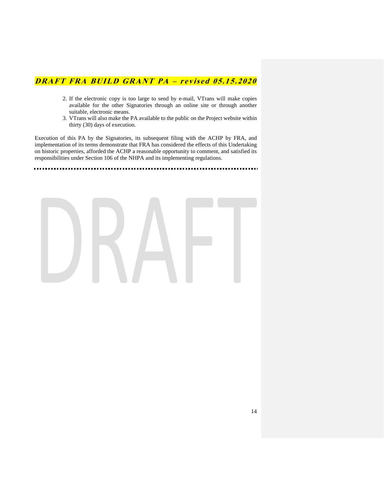- 2. If the electronic copy is too large to send by e-mail, VTrans will make copies available for the other Signatories through an online site or through another suitable, electronic means.
- 3. VTrans will also make the PA available to the public on the Project website within thirty (30) days of execution.

Execution of this PA by the Signatories, its subsequent filing with the ACHP by FRA, and implementation of its terms demonstrate that FRA has considered the effects of this Undertaking on historic properties, afforded the ACHP a reasonable opportunity to comment, and satisfied its responsibilities under Section 106 of the NHPA and its implementing regulations.

. . . . . . . . . .

 $\cdots$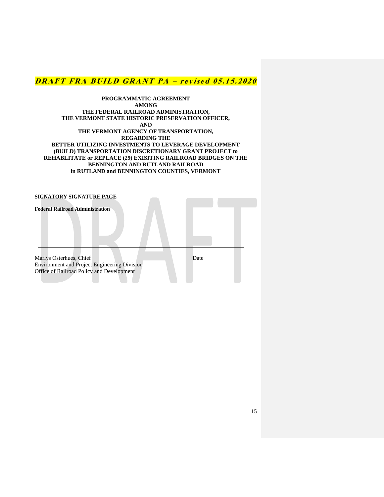**PROGRAMMATIC AGREEMENT AMONG THE FEDERAL RAILROAD ADMINISTRATION, THE VERMONT STATE HISTORIC PRESERVATION OFFICER, AND THE VERMONT AGENCY OF TRANSPORTATION, REGARDING THE BETTER UTILIZING INVESTMENTS TO LEVERAGE DEVELOPMENT (BUILD) TRANSPORTATION DISCRETIONARY GRANT PROJECT to REHABLITATE or REPLACE (29) EXISITING RAILROAD BRIDGES ON THE BENNINGTON AND RUTLAND RAILROAD in RUTLAND and BENNINGTON COUNTIES, VERMONT**

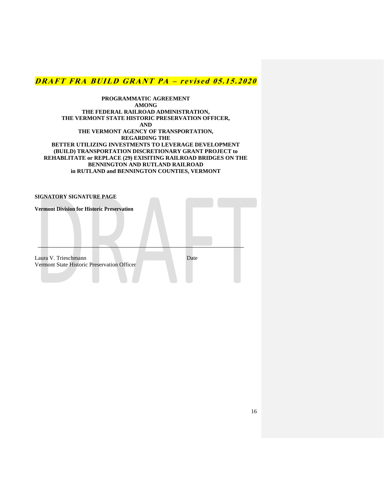**PROGRAMMATIC AGREEMENT AMONG THE FEDERAL RAILROAD ADMINISTRATION, THE VERMONT STATE HISTORIC PRESERVATION OFFICER, AND THE VERMONT AGENCY OF TRANSPORTATION, REGARDING THE BETTER UTILIZING INVESTMENTS TO LEVERAGE DEVELOPMENT (BUILD) TRANSPORTATION DISCRETIONARY GRANT PROJECT to REHABLITATE or REPLACE (29) EXISITING RAILROAD BRIDGES ON THE BENNINGTON AND RUTLAND RAILROAD in RUTLAND and BENNINGTON COUNTIES, VERMONT**

| SIGNATORY SIGNATURE PAGE                                            |      |
|---------------------------------------------------------------------|------|
| <b>Vermont Division for Historic Preservation</b>                   |      |
| Laura V. Trieschmann<br>Vermont State Historic Preservation Officer | Date |